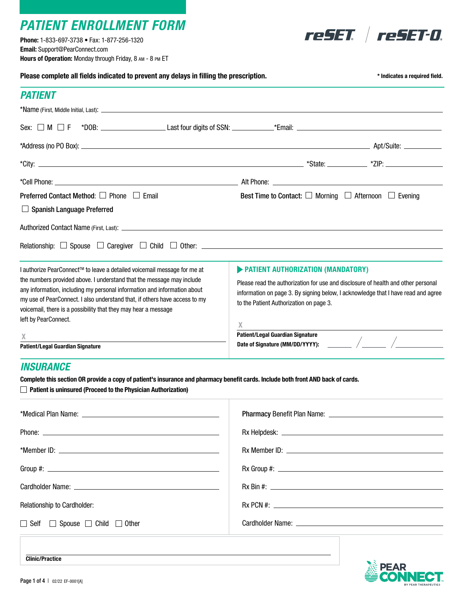# *PATIENT ENROLLMENT FORM*

Phone: 1-833-697-3738 • Fax: 1-877-256-1320 Email: Support@PearConnect.com Hours of Operation: Monday through Friday, 8 am - 8 pm ET



| Please complete all fields indicated to prevent any delays in filling the prescription.                                                                |                                                                                                                              | * Indicates a required field. |
|--------------------------------------------------------------------------------------------------------------------------------------------------------|------------------------------------------------------------------------------------------------------------------------------|-------------------------------|
| <b>PATIENT</b>                                                                                                                                         |                                                                                                                              |                               |
|                                                                                                                                                        |                                                                                                                              |                               |
|                                                                                                                                                        |                                                                                                                              |                               |
|                                                                                                                                                        |                                                                                                                              |                               |
|                                                                                                                                                        |                                                                                                                              |                               |
|                                                                                                                                                        |                                                                                                                              |                               |
| Preferred Contact Method: □ Phone □ Email                                                                                                              | Best Time to Contact: $\Box$ Morning $\Box$ Afternoon $\Box$ Evening                                                         |                               |
| $\Box$ Spanish Language Preferred                                                                                                                      |                                                                                                                              |                               |
|                                                                                                                                                        |                                                                                                                              |                               |
|                                                                                                                                                        |                                                                                                                              |                               |
| I authorize PearConnect™ to leave a detailed voicemail message for me at                                                                               | PATIENT AUTHORIZATION (MANDATORY)                                                                                            |                               |
| the numbers provided above. I understand that the message may include                                                                                  | Please read the authorization for use and disclosure of health and other personal                                            |                               |
| any information, including my personal information and information about<br>my use of PearConnect. I also understand that, if others have access to my | information on page 3. By signing below, I acknowledge that I have read and agree<br>to the Patient Authorization on page 3. |                               |
| voicemail, there is a possibility that they may hear a message                                                                                         |                                                                                                                              |                               |
| left by PearConnect.                                                                                                                                   | $\chi$                                                                                                                       |                               |
| X                                                                                                                                                      | <b>Patient/Legal Guardian Signature</b>                                                                                      |                               |
| <b>Patient/Legal Guardian Signature</b>                                                                                                                |                                                                                                                              |                               |
| <b>INSURANCE</b>                                                                                                                                       |                                                                                                                              |                               |
| Complete this section OR provide a copy of patient's insurance and pharmacy benefit cards. Include both front AND back of cards.                       |                                                                                                                              |                               |
| $\Box$ Patient is uninsured (Proceed to the Physician Authorization)                                                                                   |                                                                                                                              |                               |

| <b>Relationship to Cardholder:</b> |  |
|------------------------------------|--|
| □ Self □ Spouse □ Child □ Other    |  |
|                                    |  |



Clinic/Practice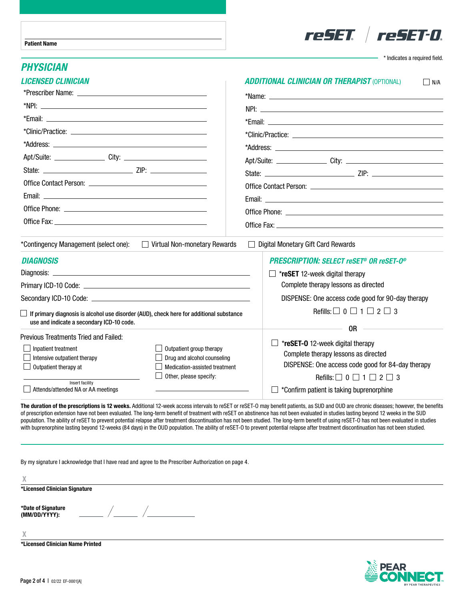

\* Indicates a required field.

#### *PHYSICIAN*

| <b>LICENSED CLINICIAN</b>                                                                                                                                                                                                     | <b>ADDITIONAL CLINICIAN OR THERAPIST (OPTIONAL)</b><br>$\Box$ N/A                                                                                                                                                              |  |
|-------------------------------------------------------------------------------------------------------------------------------------------------------------------------------------------------------------------------------|--------------------------------------------------------------------------------------------------------------------------------------------------------------------------------------------------------------------------------|--|
|                                                                                                                                                                                                                               |                                                                                                                                                                                                                                |  |
|                                                                                                                                                                                                                               |                                                                                                                                                                                                                                |  |
|                                                                                                                                                                                                                               |                                                                                                                                                                                                                                |  |
|                                                                                                                                                                                                                               | *Clinic/Practice: with a state of the state of the state of the state of the state of the state of the state of the state of the state of the state of the state of the state of the state of the state of the state of the st |  |
| *Address: the contract of the contract of the contract of the contract of the contract of the contract of the contract of the contract of the contract of the contract of the contract of the contract of the contract of the |                                                                                                                                                                                                                                |  |
|                                                                                                                                                                                                                               |                                                                                                                                                                                                                                |  |
|                                                                                                                                                                                                                               |                                                                                                                                                                                                                                |  |
|                                                                                                                                                                                                                               |                                                                                                                                                                                                                                |  |
|                                                                                                                                                                                                                               |                                                                                                                                                                                                                                |  |
|                                                                                                                                                                                                                               |                                                                                                                                                                                                                                |  |
|                                                                                                                                                                                                                               |                                                                                                                                                                                                                                |  |
|                                                                                                                                                                                                                               |                                                                                                                                                                                                                                |  |
| *Contingency Management (select one):<br>Virtual Non-monetary Rewards                                                                                                                                                         | $\Box$ Digital Monetary Gift Card Rewards                                                                                                                                                                                      |  |
| <b>DIAGNOSIS</b>                                                                                                                                                                                                              | <b>PRESCRIPTION: SELECT reSET® OR reSET-0®</b>                                                                                                                                                                                 |  |
|                                                                                                                                                                                                                               | $\Box$ *reSET 12-week digital therapy                                                                                                                                                                                          |  |
|                                                                                                                                                                                                                               | Complete therapy lessons as directed                                                                                                                                                                                           |  |
|                                                                                                                                                                                                                               | DISPENSE: One access code good for 90-day therapy                                                                                                                                                                              |  |
| If primary diagnosis is alcohol use disorder (AUD), check here for additional substance<br>use and indicate a secondary ICD-10 code.                                                                                          | Refills: $\Box$ 0 $\Box$ 1 $\Box$ 2 $\Box$ 3                                                                                                                                                                                   |  |
| <b>Previous Treatments Tried and Failed:</b>                                                                                                                                                                                  | 0R                                                                                                                                                                                                                             |  |
| Inpatient treatment<br>Outpatient group therapy<br>Intensive outpatient therapy<br>Drug and alcohol counseling<br>Outpatient therapy at<br>Medication-assisted treatment                                                      | *reSET-0 12-week digital therapy<br>Complete therapy lessons as directed<br>DISPENSE: One access code good for 84-day therapy                                                                                                  |  |
| Other, please specify:<br>Insert facility<br>Attends/attended NA or AA meetings                                                                                                                                               | Refills: $\Box$ 0 $\Box$ 1 $\Box$ 2 $\Box$ 3<br>*Confirm patient is taking buprenorphine                                                                                                                                       |  |

The duration of the prescriptions is 12 weeks. Additional 12-week access intervals to reSET or reSET-O may benefit patients, as SUD and OUD are chronic diseases; however, the benefits of prescription extension have not been evaluated. The long-term benefit of treatment with reSET on abstinence has not been evaluated in studies lasting beyond 12 weeks in the SUD population. The ability of reSET to prevent potential relapse after treatment discontinuation has not been studied. The long-term benefit of using reSET-O has not been evaluated in studies with buprenorphine lasting beyond 12-weeks (84 days) in the OUD population. The ability of reSET-O to prevent potential relapse after treatment discontinuation has not been studied.

By my signature I acknowledge that I have read and agree to the Prescriber Authorization on page 4.

| v<br>А                              |  |
|-------------------------------------|--|
| *Licensed Clinician Signature       |  |
| *Date of Signature<br>(MM/DD/YYYY): |  |
| X                                   |  |
| *Licensed Clinician Name Printed    |  |

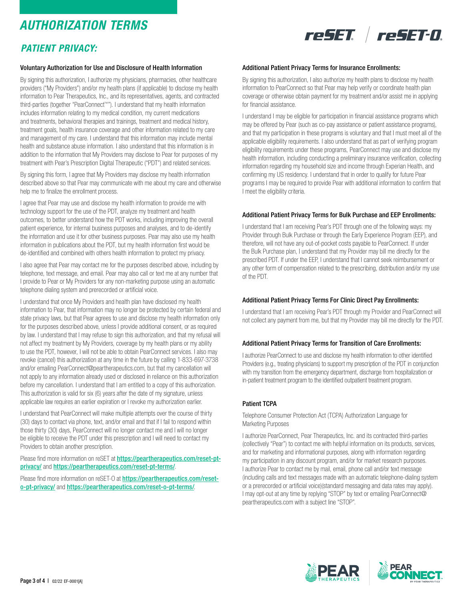## *AUTHORIZATION TERMS*

### *PATIENT PRIVACY:*

# reSET reSET-0.

#### Voluntary Authorization for Use and Disclosure of Health Information

By signing this authorization, I authorize my physicians, pharmacies, other healthcare providers ("My Providers") and/or my health plans (if applicable) to disclose my health information to Pear Therapeutics, Inc., and its representatives, agents, and contracted third-parties (together "PearConnect™"). I understand that my health information includes information relating to my medical condition, my current medications and treatments, behavioral therapies and trainings, treatment and medical history, treatment goals, health insurance coverage and other information related to my care and management of my care. I understand that this information may include mental health and substance abuse information. I also understand that this information is in addition to the information that My Providers may disclose to Pear for purposes of my treatment with Pear's Prescription Digital Therapeutic ("PDT") and related services.

By signing this form, I agree that My Providers may disclose my health information described above so that Pear may communicate with me about my care and otherwise help me to finalize the enrollment process.

I agree that Pear may use and disclose my health information to provide me with technology support for the use of the PDT, analyze my treatment and health outcomes, to better understand how the PDT works, including improving the overall patient experience, for internal business purposes and analyses, and to de-identify the information and use it for other business purposes. Pear may also use my health information in publications about the PDT, but my health information first would be de-identified and combined with others health information to protect my privacy.

I also agree that Pear may contact me for the purposes described above, including by telephone, text message, and email. Pear may also call or text me at any number that I provide to Pear or My Providers for any non-marketing purpose using an automatic telephone dialing system and prerecorded or artificial voice.

I understand that once My Providers and health plan have disclosed my health information to Pear, that information may no longer be protected by certain federal and state privacy laws, but that Pear agrees to use and disclose my health information only for the purposes described above, unless I provide additional consent, or as required by law. I understand that I may refuse to sign this authorization, and that my refusal will not affect my treatment by My Providers, coverage by my health plans or my ability to use the PDT, however, I will not be able to obtain PearConnect services. I also may revoke (cancel) this authorization at any time in the future by calling 1-833-697-3738 and/or emailing PearConnect@peartherapeutics.com, but that my cancellation will not apply to any information already used or disclosed in reliance on this authorization before my cancellation. I understand that I am entitled to a copy of this authorization. This authorization is valid for six (6) years after the date of my signature, unless applicable law requires an earlier expiration or I revoke my authorization earlier.

I understand that PearConnect will make multiple attempts over the course of thirty (30) days to contact via phone, text, and/or email and that if I fail to respond within those thirty (30) days, PearConnect will no longer contact me and I will no longer be eligible to receive the PDT under this prescription and I will need to contact my Providers to obtain another prescription.

Please find more information on reSET at https://peartherapeutics.com/reset-ptprivacy/ and https://peartherapeutics.com/reset-pt-terms/.

Please find more information on reSET-O at https://peartherapeutics.com/reseto-pt-privacy/ and https://peartherapeutics.com/reset-o-pt-terms/.

#### Additional Patient Privacy Terms for Insurance Enrollments:

By signing this authorization, I also authorize my health plans to disclose my health information to PearConnect so that Pear may help verify or coordinate health plan coverage or otherwise obtain payment for my treatment and/or assist me in applying for financial assistance.

I understand I may be eligible for participation in financial assistance programs which may be offered by Pear (such as co-pay assistance or patient assistance programs), and that my participation in these programs is voluntary and that I must meet all of the applicable eligibility requirements. I also understand that as part of verifying program eligibility requirements under these programs, PearConnect may use and disclose my health information, including conducting a preliminary insurance verification, collecting information regarding my household size and income through Experian Health, and confirming my US residency. I understand that in order to qualify for future Pear programs I may be required to provide Pear with additional information to confirm that I meet the eligibility criteria.

#### Additional Patient Privacy Terms for Bulk Purchase and EEP Enrollments:

I understand that I am receiving Pear's PDT through one of the following ways: my Provider through Bulk Purchase or through the Early Experience Program (EEP), and therefore, will not have any out-of-pocket costs payable to PearConnect. If under the Bulk Purchase plan, I understand that my Provider may bill me directly for the prescribed PDT. If under the EEP, I understand that I cannot seek reimbursement or any other form of compensation related to the prescribing, distribution and/or my use of the PDT.

#### Additional Patient Privacy Terms For Clinic Direct Pay Enrollments:

I understand that I am receiving Pear's PDT through my Provider and PearConnect will not collect any payment from me, but that my Provider may bill me directly for the PDT.

#### Additional Patient Privacy Terms for Transition of Care Enrollments:

I authorize PearConnect to use and disclose my health information to other identified Providers (e.g., treating physicians) to support my prescription of the PDT in conjunction with my transition from the emergency department, discharge from hospitalization or in-patient treatment program to the identified outpatient treatment program.

#### Patient TCPA

Telephone Consumer Protection Act (TCPA) Authorization Language for Marketing Purposes

I authorize PearConnect, Pear Therapeutics, Inc. and its contracted third-parties (collectively "Pear") to contact me with helpful information on its products, services, and for marketing and informational purposes, along with information regarding my participation in any discount program, and/or for market research purposes. I authorize Pear to contact me by mail, email, phone call and/or text message (including calls and text messages made with an automatic telephone-dialing system or a prerecorded or artificial voice)(standard messaging and data rates may apply). I may opt-out at any time by replying "STOP" by text or emailing PearConnect@ peartherapeutics.com with a subject line "STOP".